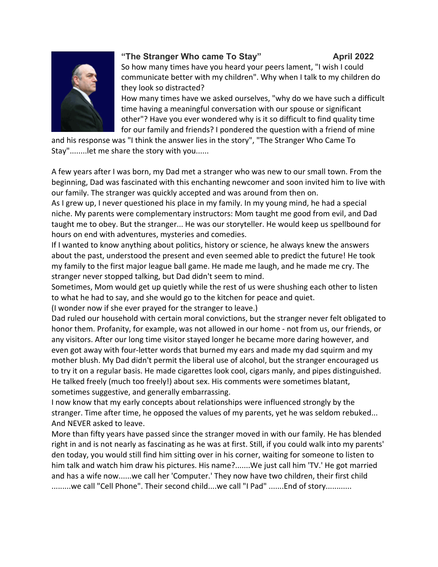

## **"The Stranger Who came To Stay" April 2022**

So how many times have you heard your peers lament, "I wish I could communicate better with my children". Why when I talk to my children do they look so distracted?

How many times have we asked ourselves, "why do we have such a difficult time having a meaningful conversation with our spouse or significant other"? Have you ever wondered why is it so difficult to find quality time for our family and friends? I pondered the question with a friend of mine

and his response was "I think the answer lies in the story", "The Stranger Who Came To Stay"........let me share the story with you......

A few years after I was born, my Dad met a stranger who was new to our small town. From the beginning, Dad was fascinated with this enchanting newcomer and soon invited him to live with our family. The stranger was quickly accepted and was around from then on.

As I grew up, I never questioned his place in my family. In my young mind, he had a special niche. My parents were complementary instructors: Mom taught me good from evil, and Dad taught me to obey. But the stranger... He was our storyteller. He would keep us spellbound for hours on end with adventures, mysteries and comedies.

If I wanted to know anything about politics, history or science, he always knew the answers about the past, understood the present and even seemed able to predict the future! He took my family to the first major league ball game. He made me laugh, and he made me cry. The stranger never stopped talking, but Dad didn't seem to mind.

Sometimes, Mom would get up quietly while the rest of us were shushing each other to listen to what he had to say, and she would go to the kitchen for peace and quiet.

(I wonder now if she ever prayed for the stranger to leave.)

Dad ruled our household with certain moral convictions, but the stranger never felt obligated to honor them. Profanity, for example, was not allowed in our home - not from us, our friends, or any visitors. After our long time visitor stayed longer he became more daring however, and even got away with four-letter words that burned my ears and made my dad squirm and my mother blush. My Dad didn't permit the liberal use of alcohol, but the stranger encouraged us to try it on a regular basis. He made cigarettes look cool, cigars manly, and pipes distinguished. He talked freely (much too freely!) about sex. His comments were sometimes blatant, sometimes suggestive, and generally embarrassing.

I now know that my early concepts about relationships were influenced strongly by the stranger. Time after time, he opposed the values of my parents, yet he was seldom rebuked... And NEVER asked to leave.

More than fifty years have passed since the stranger moved in with our family. He has blended right in and is not nearly as fascinating as he was at first. Still, if you could walk into my parents' den today, you would still find him sitting over in his corner, waiting for someone to listen to him talk and watch him draw his pictures. His name?.......We just call him 'TV.' He got married and has a wife now......we call her 'Computer.' They now have two children, their first child .........we call "Cell Phone". Their second child....we call "I Pad" .......End of story............